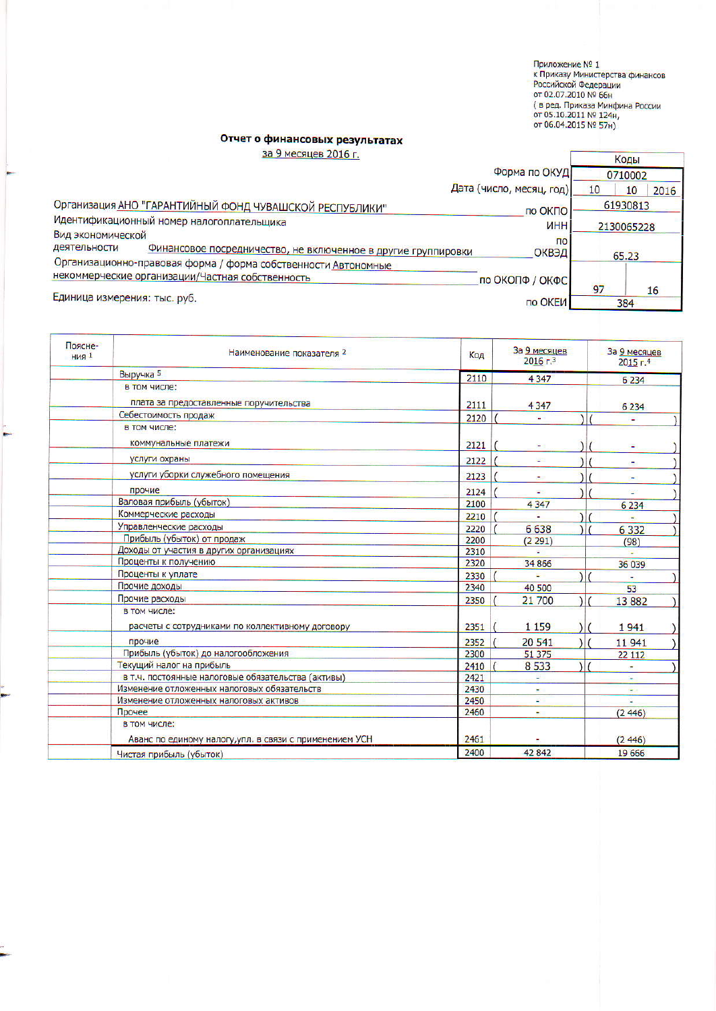Приложение № 1<br>к Приказу Министерства финансов<br>Российской Федерации<br>от 02.07.2010 № 66н<br>( в ред. Приказа Минфина России<br>от 05.10.2011 № 124н,<br>от 06.04.2015 № 57н)

## Отчет о финансовых результатах

за 9 месяцев 2016 г.

| за у месяцев 2016 г.                                                                   | Коды             |
|----------------------------------------------------------------------------------------|------------------|
| Форма по ОКУД                                                                          | 0710002          |
| Дата (число, месяц, год)                                                               | 10<br>2016<br>10 |
| Организация АНО "ГАРАНТИЙНЫЙ ФОНД ЧУВАШСКОЙ РЕСПУБЛИКИ"<br>по ОКПО                     | 61930813         |
| Идентификационный номер налогоплательщика<br>ИНН                                       | 2130065228       |
| Вид экономической                                                                      | $\overline{10}$  |
| деятельности<br>Финансовое посредничество, не включенное в другие группировки<br>ОКВЭД | 65.23            |
| Организационно-правовая форма / форма собственности Автономные                         |                  |
| некоммерческие организации/Частная собственность<br>по ОКОПФ / ОКФС                    |                  |
| Единица измерения: тыс. руб.                                                           | 97<br>16         |
| по ОКЕИ                                                                                | 384              |

| Поясне-<br><b>НИЯ 1</b> | Наименование показателя 2                               | Код  | За 9 месяцев<br>$2016$ г. <sup>3</sup> | За 9 месяцев<br>2015r.4 |
|-------------------------|---------------------------------------------------------|------|----------------------------------------|-------------------------|
|                         | Выручка 5                                               | 2110 | 4 3 4 7                                | 6 2 3 4                 |
|                         | в том числе:                                            |      |                                        |                         |
|                         | плата за предоставленные поручительства                 | 2111 | 4 3 4 7                                | 6 2 3 4                 |
|                         | Себестоимость продаж                                    | 2120 |                                        |                         |
|                         | в том числе:                                            |      |                                        |                         |
|                         | коммунальные платежи                                    | 2121 |                                        |                         |
|                         | услуги охраны                                           | 2122 | ÷                                      |                         |
|                         | услуги уборки служебного помещения                      | 2123 |                                        |                         |
|                         | прочие                                                  | 2124 |                                        |                         |
|                         | Валовая прибыль (убыток)                                | 2100 | 4 3 4 7                                | 6 2 3 4                 |
|                         | Коммерческие расходы                                    | 2210 |                                        |                         |
|                         | Управленческие расходы                                  | 2220 | 6638                                   | 6 3 3 2                 |
|                         | Прибыль (убыток) от продаж                              | 2200 | (2291)                                 | (98)                    |
|                         | Доходы от участия в других организациях                 | 2310 |                                        |                         |
|                         | Проценты к получению                                    | 2320 | 34 866                                 | 36 039                  |
|                         | Проценты к уплате                                       | 2330 |                                        |                         |
|                         | Прочие доходы                                           | 2340 | 40 500                                 | 53                      |
|                         | Прочие расходы                                          | 2350 | 21 700<br>11                           | 13882                   |
|                         | в том числе:                                            |      |                                        |                         |
|                         | расчеты с сотрудниками по коллективному договору        | 2351 | 1 1 5 9                                | 1941                    |
|                         | прочие                                                  | 2352 | 20 541                                 | 11941                   |
|                         | Прибыль (убыток) до налогообложения                     | 2300 | 51 375                                 | 22 112                  |
|                         | Текущий налог на прибыль                                | 2410 | 8533                                   |                         |
|                         | в т.ч. постоянные налоговые обязательства (активы)      | 2421 |                                        |                         |
|                         | Изменение отложенных налоговых обязательств             | 2430 |                                        |                         |
|                         | Изменение отложенных налоговых активов                  | 2450 |                                        |                         |
|                         | Прочее                                                  | 2460 | ÷                                      | (2446)                  |
|                         | в том числе:                                            |      |                                        |                         |
|                         | Аванс по единому налогу, упл. в связи с применением УСН | 2461 |                                        | (2446)                  |
|                         | Чистая прибыль (убыток)                                 | 2400 | 42 842                                 | 19 666                  |